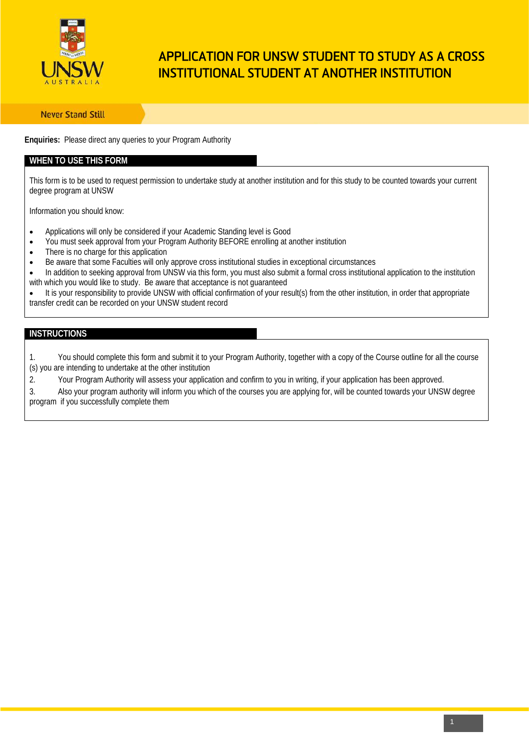

# APPLICATION FOR UNSW STUDENT TO STUDY AS A CROSS INSTITUTIONAL STUDENT AT ANOTHER INSTITUTION

**Never Stand Still** 

**Enquiries:** Please direct any queries to your Program Authority

### **WHEN TO USE THIS FORM**

This form is to be used to request permission to undertake study at another institution and for this study to be counted towards your current degree program at UNSW

Information you should know:

- Applications will only be considered if your Academic Standing level is Good
- You must seek approval from your Program Authority BEFORE enrolling at another institution
- There is no charge for this application
- Be aware that some Faculties will only approve cross institutional studies in exceptional circumstances
- In addition to seeking approval from UNSW via this form, you must also submit a formal cross institutional application to the institution with which you would like to study. Be aware that acceptance is not guaranteed
- It is your responsibility to provide UNSW with official confirmation of your result(s) from the other institution, in order that appropriate transfer credit can be recorded on your UNSW student record

#### **INSTRUCTIONS**

1. You should complete this form and submit it to your Program Authority, together with a copy of the Course outline for all the course (s) you are intending to undertake at the other institution

2. Your Program Authority will assess your application and confirm to you in writing, if your application has been approved.

3. Also your program authority will inform you which of the courses you are applying for, will be counted towards your UNSW degree program if you successfully complete them